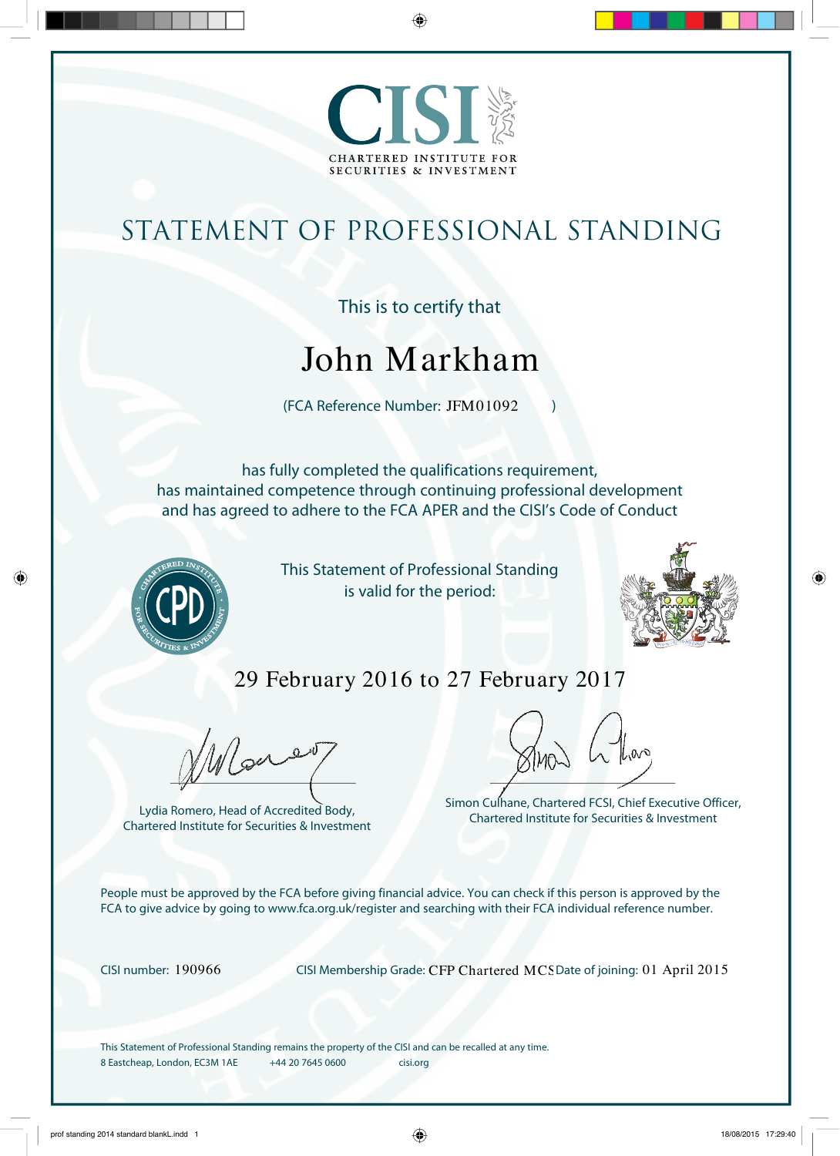

# statement of professional standing

## This is to certify that

# John Markham

JUIII IVI AI NII AIII<br>(FCA Reference Number: JFM01092 )

has fully completed the qualifications requirement, has maintained competence through continuing professional development and has agreed to adhere to the FCA APER and the CISI's Code of Conduct



This Statement of Professional Standing is valid for the period:



# 29 February 2016 to 27 February 2017

Were

Lydia Romero, Head of Accredited Body, Chartered Institute for Securities & Investment

Simon Culhane, Chartered FCSI, Chief Executive Officer, Chartered Institute for Securities & Investment

People must be approved by the FCA before giving financial advice. You can check if this person is approved by the FCA to give advice by going to www.fca.org.uk/register and searching with their FCA individual reference number.

CISI number: 190966 CISI Membership Grade: CFP Chartered MCS Date of joining: 01 April 2015

This Statement of Professional Standing remains the property of the CISI and can be recalled at any time. 8 Eastcheap, London, EC3M 1AE +44 20 7645 0600 cisi.org